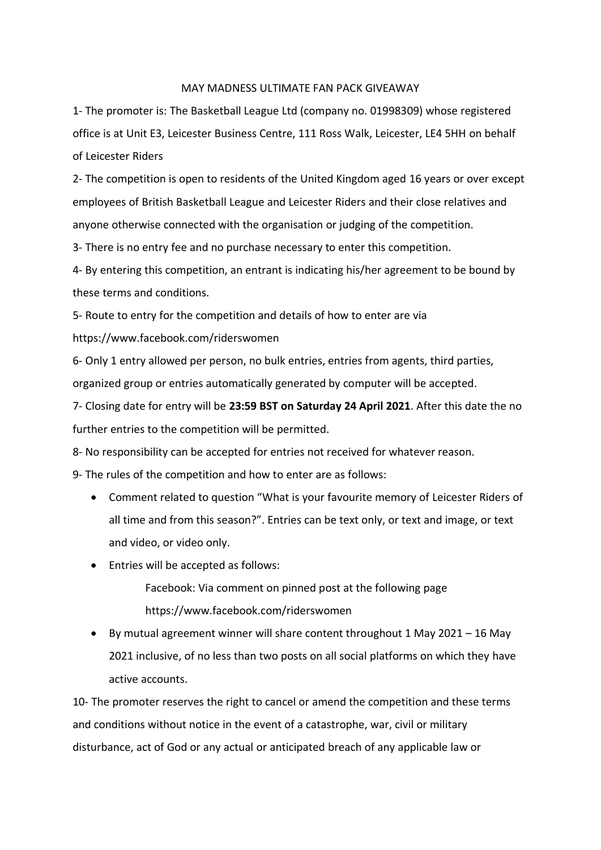## MAY MADNESS ULTIMATE FAN PACK GIVEAWAY

1- The promoter is: The Basketball League Ltd (company no. 01998309) whose registered office is at Unit E3, Leicester Business Centre, 111 Ross Walk, Leicester, LE4 5HH on behalf of Leicester Riders

2- The competition is open to residents of the United Kingdom aged 16 years or over except employees of British Basketball League and Leicester Riders and their close relatives and anyone otherwise connected with the organisation or judging of the competition.

3- There is no entry fee and no purchase necessary to enter this competition.

4- By entering this competition, an entrant is indicating his/her agreement to be bound by these terms and conditions.

5- Route to entry for the competition and details of how to enter are via

https://www.facebook.com/riderswomen

6- Only 1 entry allowed per person, no bulk entries, entries from agents, third parties, organized group or entries automatically generated by computer will be accepted.

7- Closing date for entry will be **23:59 BST on Saturday 24 April 2021**. After this date the no further entries to the competition will be permitted.

8- No responsibility can be accepted for entries not received for whatever reason.

9- The rules of the competition and how to enter are as follows:

- Comment related to question "What is your favourite memory of Leicester Riders of all time and from this season?". Entries can be text only, or text and image, or text and video, or video only.
- Entries will be accepted as follows:

Facebook: Via comment on pinned post at the following page https://www.facebook.com/riderswomen

• By mutual agreement winner will share content throughout 1 May 2021 – 16 May 2021 inclusive, of no less than two posts on all social platforms on which they have active accounts.

10- The promoter reserves the right to cancel or amend the competition and these terms and conditions without notice in the event of a catastrophe, war, civil or military disturbance, act of God or any actual or anticipated breach of any applicable law or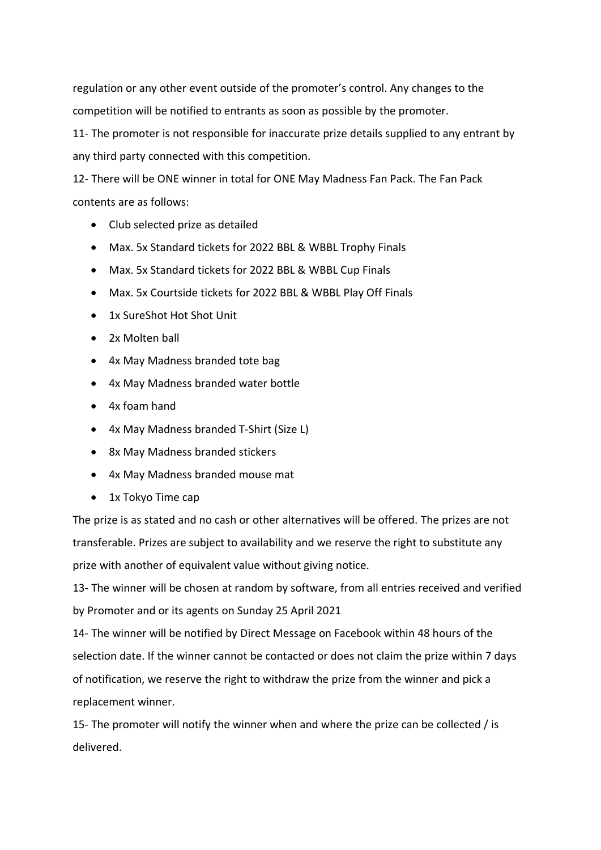regulation or any other event outside of the promoter's control. Any changes to the competition will be notified to entrants as soon as possible by the promoter.

11- The promoter is not responsible for inaccurate prize details supplied to any entrant by any third party connected with this competition.

12- There will be ONE winner in total for ONE May Madness Fan Pack. The Fan Pack contents are as follows:

- Club selected prize as detailed
- Max. 5x Standard tickets for 2022 BBL & WBBL Trophy Finals
- Max. 5x Standard tickets for 2022 BBL & WBBL Cup Finals
- Max. 5x Courtside tickets for 2022 BBL & WBBL Play Off Finals
- 1x SureShot Hot Shot Unit
- 2x Molten ball
- 4x May Madness branded tote bag
- 4x May Madness branded water bottle
- 4x foam hand
- 4x May Madness branded T-Shirt (Size L)
- 8x May Madness branded stickers
- 4x May Madness branded mouse mat
- 1x Tokyo Time cap

The prize is as stated and no cash or other alternatives will be offered. The prizes are not transferable. Prizes are subject to availability and we reserve the right to substitute any prize with another of equivalent value without giving notice.

13- The winner will be chosen at random by software, from all entries received and verified by Promoter and or its agents on Sunday 25 April 2021

14- The winner will be notified by Direct Message on Facebook within 48 hours of the selection date. If the winner cannot be contacted or does not claim the prize within 7 days of notification, we reserve the right to withdraw the prize from the winner and pick a replacement winner.

15- The promoter will notify the winner when and where the prize can be collected / is delivered.